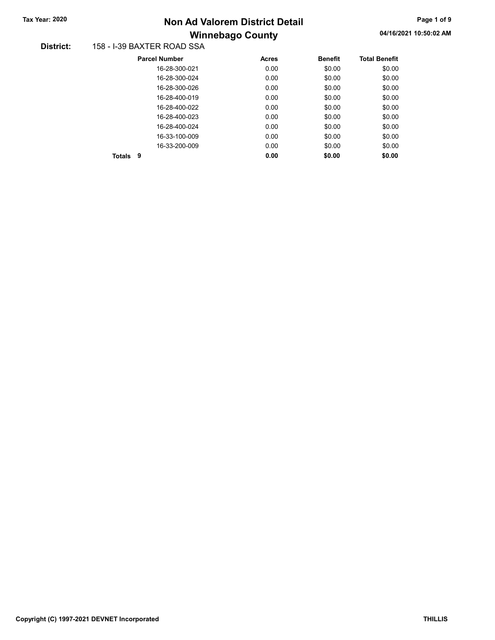# Winnebago County Tax Year: 2020 **Non Ad Valorem District Detail** Tax Year: 2020 Page 1 of 9

### 04/16/2021 10:50:02 AM

#### District: 158 - I-39 BAXTER ROAD SSA

| <b>Parcel Number</b> | <b>Acres</b> | <b>Benefit</b> | <b>Total Benefit</b> |
|----------------------|--------------|----------------|----------------------|
| 16-28-300-021        | 0.00         | \$0.00         | \$0.00               |
| 16-28-300-024        | 0.00         | \$0.00         | \$0.00               |
| 16-28-300-026        | 0.00         | \$0.00         | \$0.00               |
| 16-28-400-019        | 0.00         | \$0.00         | \$0.00               |
| 16-28-400-022        | 0.00         | \$0.00         | \$0.00               |
| 16-28-400-023        | 0.00         | \$0.00         | \$0.00               |
| 16-28-400-024        | 0.00         | \$0.00         | \$0.00               |
| 16-33-100-009        | 0.00         | \$0.00         | \$0.00               |
| 16-33-200-009        | 0.00         | \$0.00         | \$0.00               |
| 9<br>Totals          | 0.00         | \$0.00         | \$0.00               |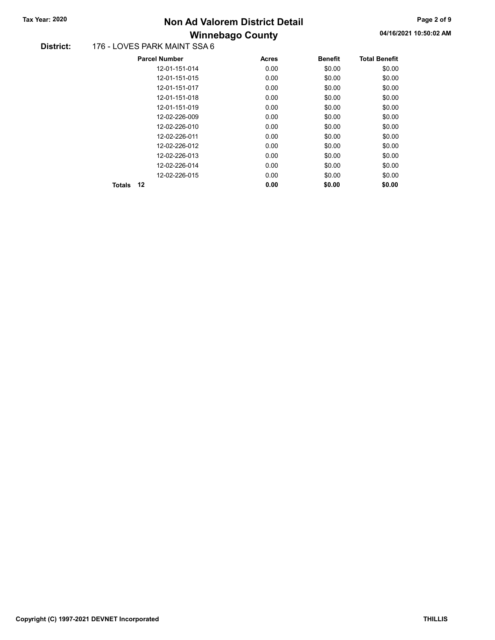# Winnebago County Tax Year: 2020 **Non Ad Valorem District Detail** Tax Year: 2020 Page 2 of 9

#### District: 176 - LOVES PARK MAINT SSA 6

|                     | <b>Parcel Number</b> | <b>Acres</b> | <b>Benefit</b> | <b>Total Benefit</b> |
|---------------------|----------------------|--------------|----------------|----------------------|
|                     | 12-01-151-014        | 0.00         | \$0.00         | \$0.00               |
|                     | 12-01-151-015        | 0.00         | \$0.00         | \$0.00               |
|                     | 12-01-151-017        | 0.00         | \$0.00         | \$0.00               |
|                     | 12-01-151-018        | 0.00         | \$0.00         | \$0.00               |
|                     | 12-01-151-019        | 0.00         | \$0.00         | \$0.00               |
|                     | 12-02-226-009        | 0.00         | \$0.00         | \$0.00               |
|                     | 12-02-226-010        | 0.00         | \$0.00         | \$0.00               |
|                     | 12-02-226-011        | 0.00         | \$0.00         | \$0.00               |
|                     | 12-02-226-012        | 0.00         | \$0.00         | \$0.00               |
|                     | 12-02-226-013        | 0.00         | \$0.00         | \$0.00               |
|                     | 12-02-226-014        | 0.00         | \$0.00         | \$0.00               |
|                     | 12-02-226-015        | 0.00         | \$0.00         | \$0.00               |
| 12<br><b>Totals</b> |                      | 0.00         | \$0.00         | \$0.00               |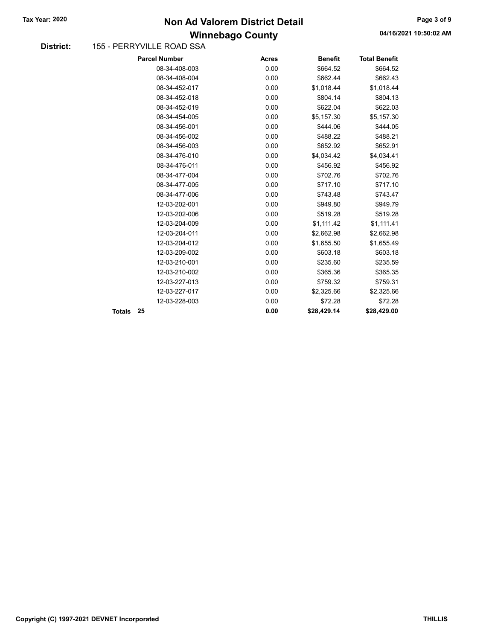## Winnebago County Tax Year: 2020 **Non Ad Valorem District Detail** Tax Year: 2020 Page 3 of 9

#### District: 155 - PERRYVILLE ROAD SSA

| <b>Parcel Number</b> | <b>Acres</b> | <b>Benefit</b> | <b>Total Benefit</b> |
|----------------------|--------------|----------------|----------------------|
| 08-34-408-003        | 0.00         | \$664.52       | \$664.52             |
| 08-34-408-004        | 0.00         | \$662.44       | \$662.43             |
| 08-34-452-017        | 0.00         | \$1,018.44     | \$1,018.44           |
| 08-34-452-018        | 0.00         | \$804.14       | \$804.13             |
| 08-34-452-019        | 0.00         | \$622.04       | \$622.03             |
| 08-34-454-005        | 0.00         | \$5,157.30     | \$5,157.30           |
| 08-34-456-001        | 0.00         | \$444.06       | \$444.05             |
| 08-34-456-002        | 0.00         | \$488.22       | \$488.21             |
| 08-34-456-003        | 0.00         | \$652.92       | \$652.91             |
| 08-34-476-010        | 0.00         | \$4,034.42     | \$4,034.41           |
| 08-34-476-011        | 0.00         | \$456.92       | \$456.92             |
| 08-34-477-004        | 0.00         | \$702.76       | \$702.76             |
| 08-34-477-005        | 0.00         | \$717.10       | \$717.10             |
| 08-34-477-006        | 0.00         | \$743.48       | \$743.47             |
| 12-03-202-001        | 0.00         | \$949.80       | \$949.79             |
| 12-03-202-006        | 0.00         | \$519.28       | \$519.28             |
| 12-03-204-009        | 0.00         | \$1,111.42     | \$1,111.41           |
| 12-03-204-011        | 0.00         | \$2,662.98     | \$2,662.98           |
| 12-03-204-012        | 0.00         | \$1,655.50     | \$1,655.49           |
| 12-03-209-002        | 0.00         | \$603.18       | \$603.18             |
| 12-03-210-001        | 0.00         | \$235.60       | \$235.59             |
| 12-03-210-002        | 0.00         | \$365.36       | \$365.35             |
| 12-03-227-013        | 0.00         | \$759.32       | \$759.31             |
| 12-03-227-017        | 0.00         | \$2,325.66     | \$2,325.66           |
| 12-03-228-003        | 0.00         | \$72.28        | \$72.28              |
| 25                   | 0.00         | \$28,429.14    | \$28,429.00          |
|                      |              |                |                      |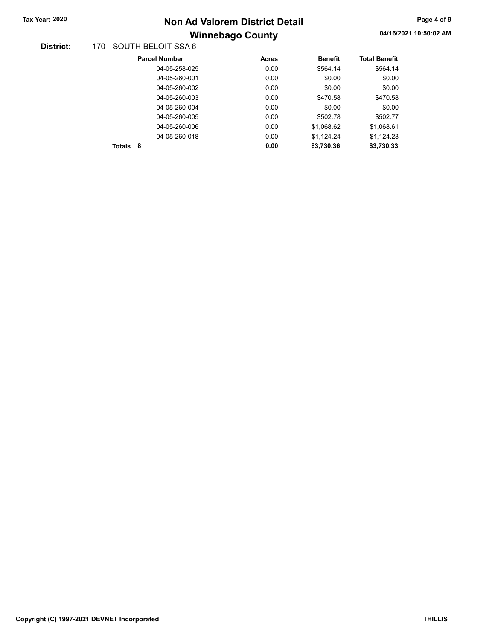# Winnebago County Tax Year: 2020 **Non Ad Valorem District Detail** Tax Year: 2020 Page 4 of 9

#### District: 170 - SOUTH BELOIT SSA 6

| <b>Parcel Number</b> | <b>Acres</b> | <b>Benefit</b> | <b>Total Benefit</b> |
|----------------------|--------------|----------------|----------------------|
| 04-05-258-025        | 0.00         | \$564.14       | \$564.14             |
| 04-05-260-001        | 0.00         | \$0.00         | \$0.00               |
| 04-05-260-002        | 0.00         | \$0.00         | \$0.00               |
| 04-05-260-003        | 0.00         | \$470.58       | \$470.58             |
| 04-05-260-004        | 0.00         | \$0.00         | \$0.00               |
| 04-05-260-005        | 0.00         | \$502.78       | \$502.77             |
| 04-05-260-006        | 0.00         | \$1,068.62     | \$1,068.61           |
| 04-05-260-018        | 0.00         | \$1,124.24     | \$1,124.23           |
| 8<br>Totals          | 0.00         | \$3,730.36     | \$3.730.33           |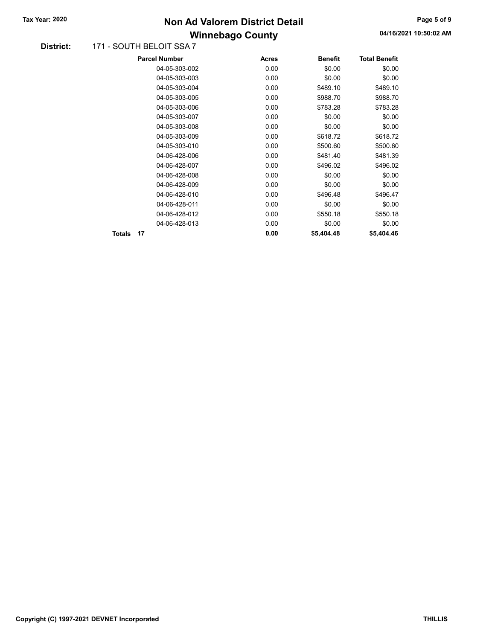## Winnebago County Tax Year: 2020 **Non Ad Valorem District Detail** Tax Year: 2020 Page 5 of 9

#### District: 171 - SOUTH BELOIT SSA 7

| <b>Parcel Number</b> |               | <b>Acres</b> | <b>Benefit</b> | <b>Total Benefit</b> |
|----------------------|---------------|--------------|----------------|----------------------|
|                      | 04-05-303-002 | 0.00         | \$0.00         | \$0.00               |
|                      | 04-05-303-003 | 0.00         | \$0.00         | \$0.00               |
|                      | 04-05-303-004 | 0.00         | \$489.10       | \$489.10             |
|                      | 04-05-303-005 | 0.00         | \$988.70       | \$988.70             |
|                      | 04-05-303-006 | 0.00         | \$783.28       | \$783.28             |
|                      | 04-05-303-007 | 0.00         | \$0.00         | \$0.00               |
|                      | 04-05-303-008 | 0.00         | \$0.00         | \$0.00               |
|                      | 04-05-303-009 | 0.00         | \$618.72       | \$618.72             |
|                      | 04-05-303-010 | 0.00         | \$500.60       | \$500.60             |
|                      | 04-06-428-006 | 0.00         | \$481.40       | \$481.39             |
|                      | 04-06-428-007 | 0.00         | \$496.02       | \$496.02             |
|                      | 04-06-428-008 | 0.00         | \$0.00         | \$0.00               |
|                      | 04-06-428-009 | 0.00         | \$0.00         | \$0.00               |
|                      | 04-06-428-010 | 0.00         | \$496.48       | \$496.47             |
|                      | 04-06-428-011 | 0.00         | \$0.00         | \$0.00               |
|                      | 04-06-428-012 | 0.00         | \$550.18       | \$550.18             |
|                      | 04-06-428-013 | 0.00         | \$0.00         | \$0.00               |
| 17<br>Totals         |               | 0.00         | \$5,404.48     | \$5,404.46           |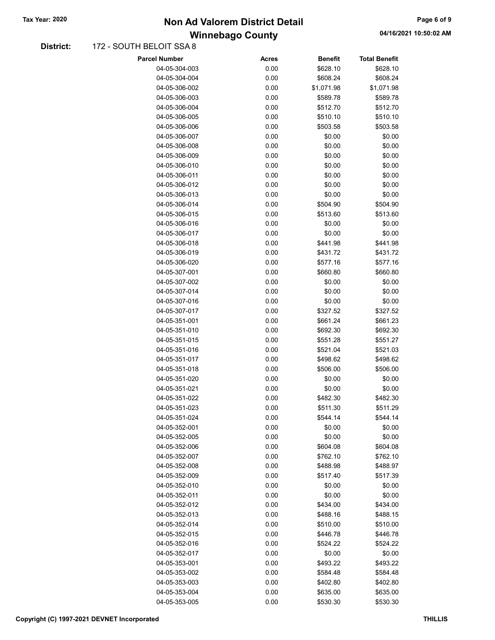### Winnebago County Tax Year: 2020 **Non Ad Valorem District Detail** Tax Year: 2020 Page 6 of 9

#### District: 172 - SOUTH BELOIT SSA 8

| Parcel Number | <b>Acres</b> | <b>Benefit</b> | <b>Total Benefit</b> |
|---------------|--------------|----------------|----------------------|
| 04-05-304-003 | 0.00         | \$628.10       | \$628.10             |
| 04-05-304-004 | 0.00         | \$608.24       | \$608.24             |
| 04-05-306-002 | 0.00         | \$1,071.98     | \$1,071.98           |
| 04-05-306-003 | 0.00         | \$589.78       | \$589.78             |
| 04-05-306-004 | 0.00         | \$512.70       | \$512.70             |
| 04-05-306-005 | 0.00         | \$510.10       | \$510.10             |
| 04-05-306-006 | 0.00         | \$503.58       | \$503.58             |
| 04-05-306-007 | 0.00         | \$0.00         | \$0.00               |
| 04-05-306-008 | 0.00         | \$0.00         | \$0.00               |
| 04-05-306-009 | 0.00         | \$0.00         | \$0.00               |
| 04-05-306-010 | 0.00         | \$0.00         | \$0.00               |
| 04-05-306-011 | 0.00         | \$0.00         | \$0.00               |
| 04-05-306-012 | 0.00         | \$0.00         | \$0.00               |
| 04-05-306-013 | 0.00         | \$0.00         | \$0.00               |
| 04-05-306-014 | 0.00         | \$504.90       | \$504.90             |
| 04-05-306-015 | 0.00         | \$513.60       | \$513.60             |
| 04-05-306-016 | 0.00         | \$0.00         | \$0.00               |
| 04-05-306-017 | 0.00         | \$0.00         | \$0.00               |
| 04-05-306-018 | 0.00         | \$441.98       | \$441.98             |
| 04-05-306-019 | 0.00         | \$431.72       | \$431.72             |
| 04-05-306-020 | 0.00         | \$577.16       | \$577.16             |
| 04-05-307-001 | 0.00         | \$660.80       | \$660.80             |
| 04-05-307-002 | 0.00         | \$0.00         | \$0.00               |
| 04-05-307-014 | 0.00         | \$0.00         | \$0.00               |
| 04-05-307-016 | 0.00         | \$0.00         | \$0.00               |
| 04-05-307-017 | 0.00         | \$327.52       | \$327.52             |
| 04-05-351-001 | 0.00         | \$661.24       | \$661.23             |
| 04-05-351-010 | 0.00         | \$692.30       | \$692.30             |
| 04-05-351-015 | 0.00         | \$551.28       | \$551.27             |
| 04-05-351-016 | 0.00         | \$521.04       | \$521.03             |
| 04-05-351-017 | 0.00         | \$498.62       | \$498.62             |
| 04-05-351-018 | 0.00         | \$506.00       | \$506.00             |
| 04-05-351-020 | 0.00         | \$0.00         | \$0.00               |
| 04-05-351-021 | 0.00         | \$0.00         | \$0.00               |
| 04-05-351-022 | 0.00         | \$482.30       | \$482.30             |
| 04-05-351-023 | 0.00         | \$511.30       | \$511.29             |
| 04-05-351-024 | 0.00         | \$544.14       | \$544.14             |
| 04-05-352-001 | 0.00         | \$0.00         | \$0.00               |
| 04-05-352-005 | 0.00         | \$0.00         | \$0.00               |
| 04-05-352-006 | 0.00         | \$604.08       | \$604.08             |
| 04-05-352-007 | 0.00         | \$762.10       | \$762.10             |
| 04-05-352-008 | 0.00         | \$488.98       | \$488.97             |
| 04-05-352-009 | 0.00         | \$517.40       | \$517.39             |
| 04-05-352-010 | 0.00         | \$0.00         | \$0.00               |
| 04-05-352-011 | 0.00         | \$0.00         | \$0.00               |
| 04-05-352-012 | 0.00         | \$434.00       | \$434.00             |
| 04-05-352-013 | 0.00         | \$488.16       | \$488.15             |
| 04-05-352-014 | 0.00         | \$510.00       | \$510.00             |
| 04-05-352-015 | 0.00         | \$446.78       | \$446.78             |
| 04-05-352-016 | 0.00         | \$524.22       | \$524.22             |
| 04-05-352-017 | 0.00         | \$0.00         | \$0.00               |
| 04-05-353-001 | 0.00         | \$493.22       | \$493.22             |
| 04-05-353-002 | 0.00         | \$584.48       | \$584.48             |
| 04-05-353-003 | 0.00         | \$402.80       | \$402.80             |
| 04-05-353-004 | 0.00         | \$635.00       | \$635.00             |
| 04-05-353-005 | 0.00         | \$530.30       | \$530.30             |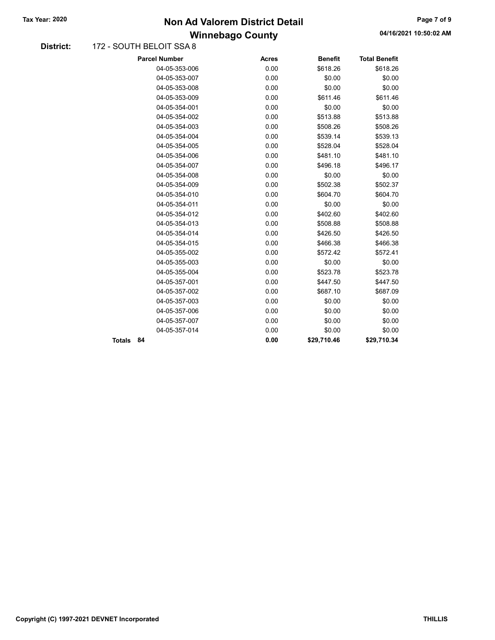### Winnebago County Tax Year: 2020 **Non Ad Valorem District Detail** Tax Year: 2020 Page 7 of 9

#### District: 172 - SOUTH BELOIT SSA 8

|               |    | <b>Parcel Number</b> | <b>Acres</b> | <b>Benefit</b> | <b>Total Benefit</b> |
|---------------|----|----------------------|--------------|----------------|----------------------|
|               |    | 04-05-353-006        | 0.00         | \$618.26       | \$618.26             |
|               |    | 04-05-353-007        | 0.00         | \$0.00         | \$0.00               |
|               |    | 04-05-353-008        | 0.00         | \$0.00         | \$0.00               |
|               |    | 04-05-353-009        | 0.00         | \$611.46       | \$611.46             |
|               |    | 04-05-354-001        | 0.00         | \$0.00         | \$0.00               |
|               |    | 04-05-354-002        | 0.00         | \$513.88       | \$513.88             |
|               |    | 04-05-354-003        | 0.00         | \$508.26       | \$508.26             |
|               |    | 04-05-354-004        | 0.00         | \$539.14       | \$539.13             |
|               |    | 04-05-354-005        | 0.00         | \$528.04       | \$528.04             |
|               |    | 04-05-354-006        | 0.00         | \$481.10       | \$481.10             |
|               |    | 04-05-354-007        | 0.00         | \$496.18       | \$496.17             |
|               |    | 04-05-354-008        | 0.00         | \$0.00         | \$0.00               |
|               |    | 04-05-354-009        | 0.00         | \$502.38       | \$502.37             |
|               |    | 04-05-354-010        | 0.00         | \$604.70       | \$604.70             |
|               |    | 04-05-354-011        | 0.00         | \$0.00         | \$0.00               |
|               |    | 04-05-354-012        | 0.00         | \$402.60       | \$402.60             |
|               |    | 04-05-354-013        | 0.00         | \$508.88       | \$508.88             |
|               |    | 04-05-354-014        | 0.00         | \$426.50       | \$426.50             |
|               |    | 04-05-354-015        | 0.00         | \$466.38       | \$466.38             |
|               |    | 04-05-355-002        | 0.00         | \$572.42       | \$572.41             |
|               |    | 04-05-355-003        | 0.00         | \$0.00         | \$0.00               |
|               |    | 04-05-355-004        | 0.00         | \$523.78       | \$523.78             |
|               |    | 04-05-357-001        | 0.00         | \$447.50       | \$447.50             |
|               |    | 04-05-357-002        | 0.00         | \$687.10       | \$687.09             |
|               |    | 04-05-357-003        | 0.00         | \$0.00         | \$0.00               |
|               |    | 04-05-357-006        | 0.00         | \$0.00         | \$0.00               |
|               |    | 04-05-357-007        | 0.00         | \$0.00         | \$0.00               |
|               |    | 04-05-357-014        | 0.00         | \$0.00         | \$0.00               |
| <b>Totals</b> | 84 |                      | 0.00         | \$29,710.46    | \$29,710.34          |
|               |    |                      |              |                |                      |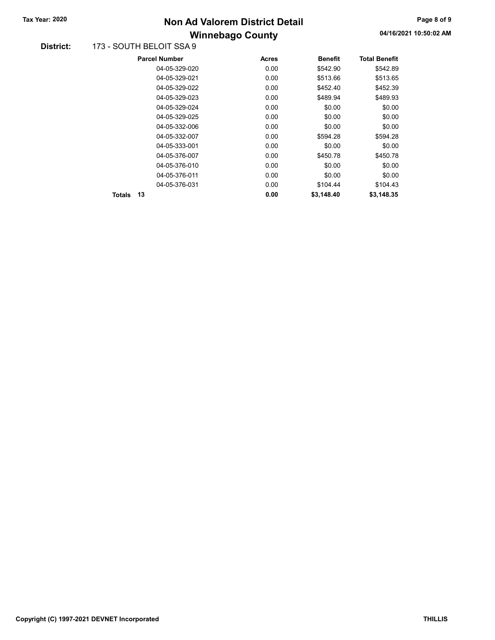# Winnebago County Tax Year: 2020 **Non Ad Valorem District Detail** Tax Year: 2020 Page 8 of 9

#### District: 173 - SOUTH BELOIT SSA 9

|              | <b>Parcel Number</b> | <b>Acres</b> | <b>Benefit</b> | <b>Total Benefit</b> |
|--------------|----------------------|--------------|----------------|----------------------|
|              | 04-05-329-020        | 0.00         | \$542.90       | \$542.89             |
|              | 04-05-329-021        | 0.00         | \$513.66       | \$513.65             |
|              | 04-05-329-022        | 0.00         | \$452.40       | \$452.39             |
|              | 04-05-329-023        | 0.00         | \$489.94       | \$489.93             |
|              | 04-05-329-024        | 0.00         | \$0.00         | \$0.00               |
|              | 04-05-329-025        | 0.00         | \$0.00         | \$0.00               |
|              | 04-05-332-006        | 0.00         | \$0.00         | \$0.00               |
|              | 04-05-332-007        | 0.00         | \$594.28       | \$594.28             |
|              | 04-05-333-001        | 0.00         | \$0.00         | \$0.00               |
|              | 04-05-376-007        | 0.00         | \$450.78       | \$450.78             |
|              | 04-05-376-010        | 0.00         | \$0.00         | \$0.00               |
|              | 04-05-376-011        | 0.00         | \$0.00         | \$0.00               |
|              | 04-05-376-031        | 0.00         | \$104.44       | \$104.43             |
| 13<br>Totals |                      | 0.00         | \$3.148.40     | \$3.148.35           |